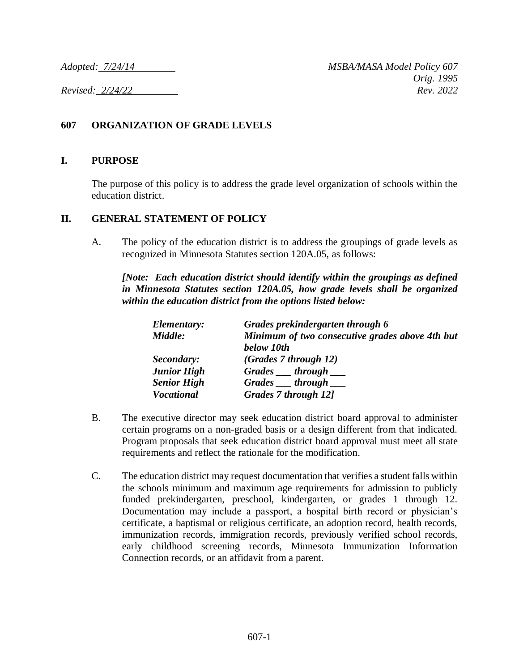## **607 ORGANIZATION OF GRADE LEVELS**

## **I. PURPOSE**

The purpose of this policy is to address the grade level organization of schools within the education district.

## **II. GENERAL STATEMENT OF POLICY**

A. The policy of the education district is to address the groupings of grade levels as recognized in Minnesota Statutes section 120A.05, as follows:

*[Note: Each education district should identify within the groupings as defined in Minnesota Statutes section 120A.05, how grade levels shall be organized within the education district from the options listed below:*

|  | Elementary:        | Grades prekindergarten through 6                |
|--|--------------------|-------------------------------------------------|
|  | Middle:            | Minimum of two consecutive grades above 4th but |
|  |                    | below 10th                                      |
|  | Secondary:         | (Grades 7 through 12)                           |
|  | <b>Junior High</b> | Grades __ through __                            |
|  | <b>Senior High</b> | Grades <i>through</i>                           |
|  | <b>Vocational</b>  | Grades 7 through 12]                            |

- B. The executive director may seek education district board approval to administer certain programs on a non-graded basis or a design different from that indicated. Program proposals that seek education district board approval must meet all state requirements and reflect the rationale for the modification.
- C. The education district may request documentation that verifies a student falls within the schools minimum and maximum age requirements for admission to publicly funded prekindergarten, preschool, kindergarten, or grades 1 through 12. Documentation may include a passport, a hospital birth record or physician's certificate, a baptismal or religious certificate, an adoption record, health records, immunization records, immigration records, previously verified school records, early childhood screening records, Minnesota Immunization Information Connection records, or an affidavit from a parent.